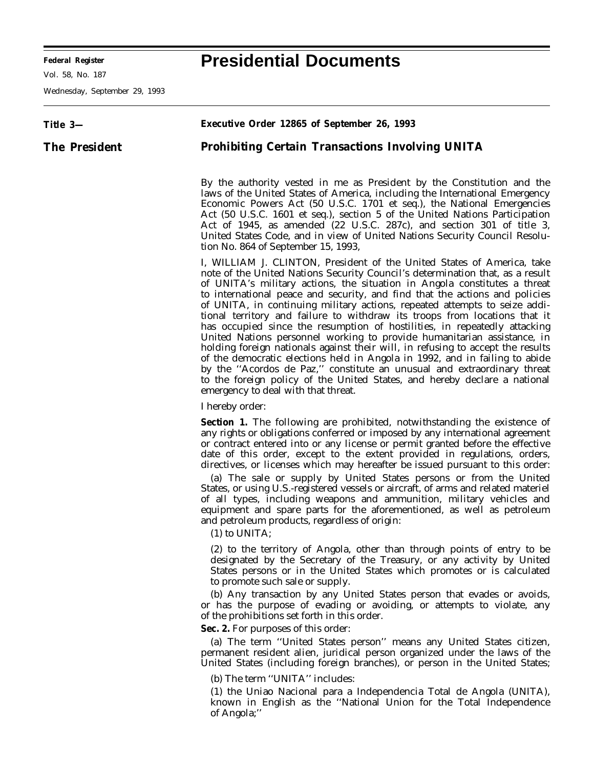**Federal Register Presidential Documents**

Ξ

Vol. 58, No. 187

Wednesday, September 29, 1993

| Title 3—             | <b>Executive Order 12865 of September 26, 1993</b>                                                                                                                                                                                                                                                                                                                                                                                                                                                                                                                                                                                                                                                                                                                                                                                                                                                                                                                                                       |
|----------------------|----------------------------------------------------------------------------------------------------------------------------------------------------------------------------------------------------------------------------------------------------------------------------------------------------------------------------------------------------------------------------------------------------------------------------------------------------------------------------------------------------------------------------------------------------------------------------------------------------------------------------------------------------------------------------------------------------------------------------------------------------------------------------------------------------------------------------------------------------------------------------------------------------------------------------------------------------------------------------------------------------------|
| <b>The President</b> | <b>Prohibiting Certain Transactions Involving UNITA</b>                                                                                                                                                                                                                                                                                                                                                                                                                                                                                                                                                                                                                                                                                                                                                                                                                                                                                                                                                  |
|                      | By the authority vested in me as President by the Constitution and the<br>laws of the United States of America, including the International Emergency<br>Economic Powers Act (50 U.S.C. 1701 et seq.), the National Emergencies<br>Act (50 U.S.C. 1601 <i>et seq.</i> ), section 5 of the United Nations Participation<br>Act of 1945, as amended (22 U.S.C. 287c), and section 301 of title 3,<br>United States Code, and in view of United Nations Security Council Resolu-<br>tion No. 864 of September 15, 1993,                                                                                                                                                                                                                                                                                                                                                                                                                                                                                     |
|                      | I, WILLIAM J. CLINTON, President of the United States of America, take<br>note of the United Nations Security Council's determination that, as a result<br>of UNITA's military actions, the situation in Angola constitutes a threat<br>to international peace and security, and find that the actions and policies<br>of UNITA, in continuing military actions, repeated attempts to seize addi-<br>tional territory and failure to withdraw its troops from locations that it<br>has occupied since the resumption of hostilities, in repeatedly attacking<br>United Nations personnel working to provide humanitarian assistance, in<br>holding foreign nationals against their will, in refusing to accept the results<br>of the democratic elections held in Angola in 1992, and in failing to abide<br>by the "Acordos de Paz," constitute an unusual and extraordinary threat<br>to the foreign policy of the United States, and hereby declare a national<br>emergency to deal with that threat. |
|                      | I hereby order:                                                                                                                                                                                                                                                                                                                                                                                                                                                                                                                                                                                                                                                                                                                                                                                                                                                                                                                                                                                          |
|                      | <b>Section 1.</b> The following are prohibited, notwithstanding the existence of<br>any rights or obligations conferred or imposed by any international agreement<br>or contract entered into or any license or permit granted before the effective<br>date of this order, except to the extent provided in regulations, orders,<br>directives, or licenses which may hereafter be issued pursuant to this order:<br>(a) The sale or supply by United States persons or from the United<br>States, or using U.S.-registered vessels or aircraft, of arms and related materiel<br>of all types, including weapons and ammunition, military vehicles and<br>equipment and spare parts for the aforementioned, as well as petroleum<br>and petroleum products, regardless of origin:<br>$(1)$ to UNITA;                                                                                                                                                                                                     |
|                      | (2) to the territory of Angola, other than through points of entry to be<br>designated by the Secretary of the Treasury, or any activity by United<br>States persons or in the United States which promotes or is calculated<br>to promote such sale or supply.<br>(b) Any transaction by any United States person that evades or avoids,<br>or has the purpose of evading or avoiding, or attempts to violate, any<br>of the prohibitions set forth in this order.<br>Sec. 2. For purposes of this order:<br>(a) The term "United States person" means any United States citizen,<br>permanent resident alien, juridical person organized under the laws of the<br>United States (including foreign branches), or person in the United States;<br>(b) The term "UNITA" includes:                                                                                                                                                                                                                        |
|                      | (1) the Uniao Nacional para a Independencia Total de Angola (UNITA),<br>known in English as the "National Union for the Total Independence<br>of Angola;"                                                                                                                                                                                                                                                                                                                                                                                                                                                                                                                                                                                                                                                                                                                                                                                                                                                |

÷.